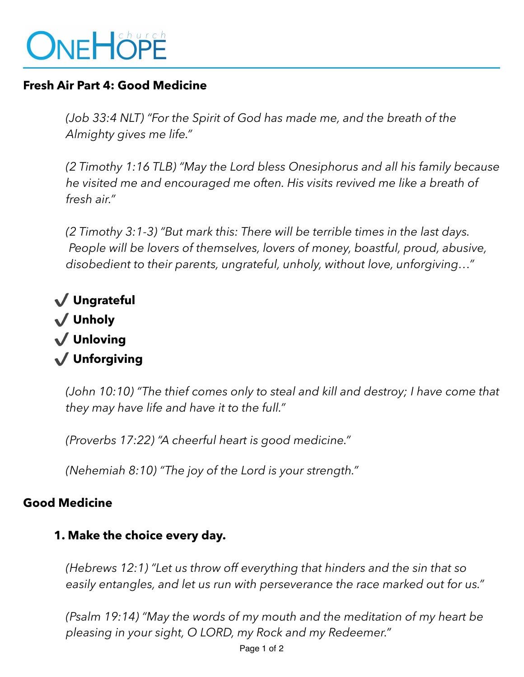# ONEHÖPE

### **Fresh Air Part 4: Good Medicine**

*(Job 33:4 NLT) "For the Spirit of God has made me, and the breath of the Almighty gives me life."* 

*(2 Timothy 1:16 TLB) "May the Lord bless Onesiphorus and all his family because he visited me and encouraged me often. His visits revived me like a breath of fresh air."* 

*(2 Timothy 3:1-3) "But mark this: There will be terrible times in the last days. People will be lovers of themselves, lovers of money, boastful, proud, abusive, disobedient to their parents, ungrateful, unholy, without love, unforgiving…"*

 ✔ **Ungrateful**  ✔ **Unholy**  ✔ **Unloving**  ✔ **Unforgiving** 

> *(John 10:10) "The thief comes only to steal and kill and destroy; I have come that they may have life and have it to the full."*

*(Proverbs 17:22) "A cheerful heart is good medicine."*

*(Nehemiah 8:10) "The joy of the Lord is your strength."*

#### **Good Medicine**

## **1. Make the choice every day.**

*(Hebrews 12:1) "Let us throw off everything that hinders and the sin that so easily entangles, and let us run with perseverance the race marked out for us."* 

*(Psalm 19:14) "May the words of my mouth and the meditation of my heart be pleasing in your sight, O LORD, my Rock and my Redeemer."*